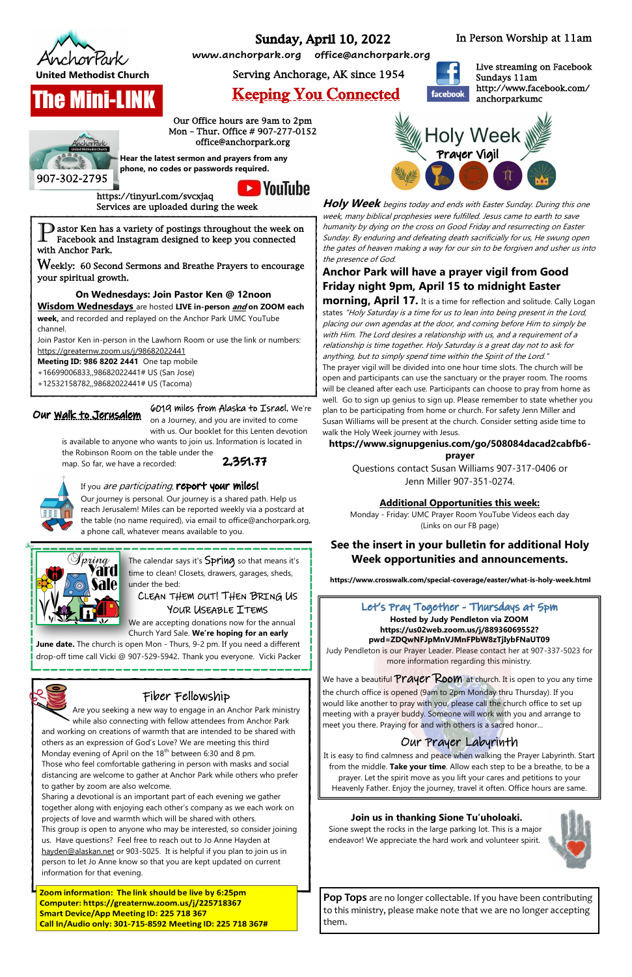

**The Mini-LINK** 

# **Sunday, April 10, 2022**

**Holy Week** begins today and ends with Easter Sunday. During this one week, many biblical prophesies were fulfilled. Jesus came to earth to save humanity by dying on the cross on Good Friday and resurrecting on Easter Sunday. By enduring and defeating death sacrificially for us, He swung open the gates of heaven making a way for our sin to be forgiven and usher us into the presence of God.

## **Anchor Park will have a prayer vigil from Good Friday night 9pm, April 15 to midnight Easter**

**morning, April 17.** It is a time for reflection and solitude. Cally Logan states "Holy Saturday is a time for us to lean into being present in the Lord, placing our own agendas at the door, and coming before Him to simply be with Him. The Lord desires a relationship with us, and a requirement of a relationship is time together. Holy Saturday is a great day not to ask for anything, but to simply spend time within the Spirit of the Lord." The prayer vigil will be divided into one hour time slots. The church will be

open and participants can use the sanctuary or the prayer room. The rooms will be cleaned after each use. Participants can choose to pray from home as well. Go to sign up genius to sign up. Please remember to state whether you plan to be participating from home or church. For safety Jenn Miller and Susan Williams will be present at the church. Consider setting aside time to walk the Holy Week journey with Jesus.

#### Let's Pray Together - Thursdays at 5pm **Hosted by Judy Pendleton via ZOOM https://us02web.zoom.us/j/88936069552? pwd=ZDQwNFJpMnVJMnFPbW8zTjIybFNaUT09**

# **https://www.signupgenius.com/go/508084dacad2cabfb6-**

**prayer**

Questions contact Susan Williams 907-317-0406 or Jenn Miller 907-351-0274.

# Keeping You Connected

**www.anchorpark.org office@anchorpark.org**

United Methodist Church Serving Anchorage, AK since 1954

907-302-2795

In Person Worship at 11am

Our Office hours are 9am to 2pm Mon – Thur. Office # 907-277-0152 office@anchorpark.org

**Hear the latest sermon and prayers from any phone, no codes or passwords required.**



https://tinyurl.com/svcxjaq Services are uploaded during the week

Live streaming on Facebook Sundays 11am http://www.facebook.com/ anchorparkumc



The calendar says it's Spring so that means it's time to clean! Closets, drawers, garages, sheds, under the bed:

### CLEAN THEM OUT! THEN BRING US YOUR USEABLE ITEMS

P astor Ken has a variety of postings throughout the week on Facebook and Instagram designed to keep you connected with Anchor Park.

Weekly: 60 Second Sermons and Breathe Prayers to encourage your spiritual growth.

### **On Wednesdays: Join Pastor Ken @ 12noon**

**Wisdom Wednesdays** are hosted **LIVE in-person and on ZOOM each week,** and recorded and replayed on the Anchor Park UMC YouTube

channel. Join Pastor Ken in-person in the Lawhorn Room or use the link or numbers: <https://greaternw.zoom.us/j/98682022441>

**Meeting ID: 986 8202 2441** One tap mobile

- +16699006833,,98682022441# US (San Jose)
- +12532158782,,98682022441# US (Tacoma)

## Our <u>Walk to Jerusalem</u>

Judy Pendleton is our Prayer Leader. Please contact her at 907-337-5023 for more information regarding this ministry.

We have a beautiful  $Prayer~Room$  at church. It is open to you any time the church office is opened (9am to 2pm Monday thru Thursday). If you would like another to pray with you, please call the church office to set up meeting with a prayer buddy. Someone will work with you and arrange to meet you there. Praying for and with others is a sacred honor...

Zoom information: The link should be live by 6:25pm Computer: https://greaternw.zoom.us/j/225718367 **Smart Device/App Meeting ID: 225 718 367** Call In/Audio only: 301-715-8592 Meeting ID: 225 718 367#

### Our Prayer Labyrinth

It is easy to find calmness and peace when walking the Prayer Labyrinth. Start from the middle. **Take your time**. Allow each step to be a breathe, to be a prayer. Let the spirit move as you lift your cares and petitions to your Heavenly Father. Enjoy the journey, travel it often. Office hours are same.

6019 miles from Alaska to Israel. We're

on a Journey, and you are invited to come with us. Our booklet for this Lenten devotion

is available to anyone who wants to join us. Information is located in

the Robinson Room on the table under the map. So far, we have a recorded:





#### If you are participating, report your miles!

Our journey is personal. Our journey is a shared path. Help us reach Jerusalem! Miles can be reported weekly via a postcard at the table (no name required), via email to office@anchorpark.org, a phone call, whatever means available to you.



We are accepting donations now for the annual Church Yard Sale. **We're hoping for an early** 

**June date.** The church is open Mon - Thurs, 9-2 pm. If you need a different drop-off time call Vicki @ 907-529-5942. Thank you everyone. Vicki Packer



**https://www.crosswalk.com/special-coverage/easter/what-is-holy-week.html**

# Fiber Fellowship

Are you seeking a new way to engage in an Anchor Park ministry  $\checkmark$  while also connecting with fellow attendees from Anchor Park and working on creations of warmth that are intended to be shared with others as an expression of God's Love? We are meeting this third Monday evening of April on the  $18<sup>th</sup>$  between 6:30 and 8 pm. Those who feel comfortable gathering in person with masks and social distancing are welcome to gather at Anchor Park while others who prefer to gather by zoom are also welcome. Sharing a devotional is an important part of each evening we gather together along with enjoying each other's company as we each work on projects of love and warmth which will be shared with others. This group is open to anyone who may be interested, so consider joining us. Have questions? Feel free to reach out to Jo Anne Hayden at [hayden@alaskan.net](mailto:hayden@alaskan.net) or 903-5025. It is helpful if you plan to join us in person to let Jo Anne know so that you are kept updated on current information for that evening.



**Pop Tops** are no longer collectable. If you have been contributing to this ministry, please make note that we are no longer accepting them.

### **Additional Opportunities this week:**

Monday - Friday: UMC Prayer Room YouTube Videos each day (Links on our FB page)

# **See the insert in your bulletin for additional Holy Week opportunities and announcements.**

#### **Join us in thanking Sione Tu'uholoaki.**

Sione swept the rocks in the large parking lot. This is a major endeavor! We appreciate the hard work and volunteer spirit.